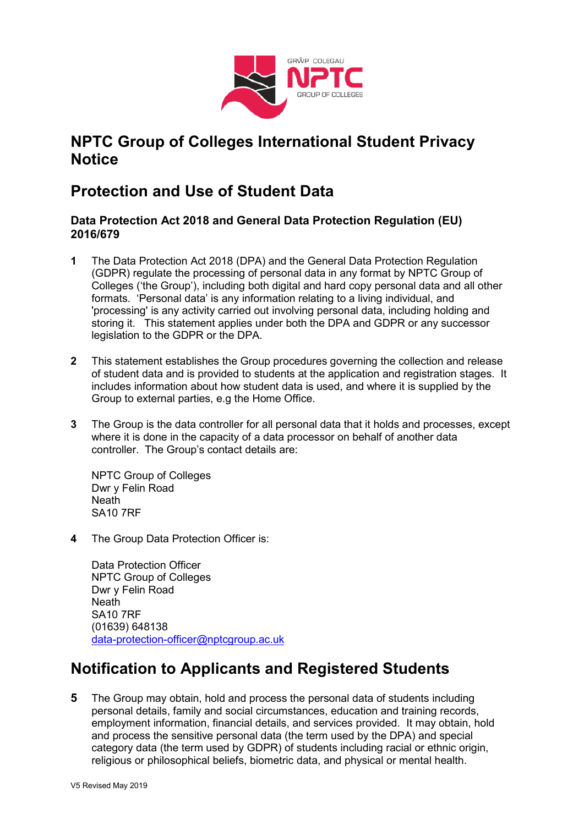

## **NPTC Group of Colleges International Student Privacy Notice**

## **Protection and Use of Student Data**

#### **Data Protection Act 2018 and General Data Protection Regulation (EU) 2016/679**

- **1** The Data Protection Act 2018 (DPA) and the General Data Protection Regulation (GDPR) regulate the processing of personal data in any format by NPTC Group of Colleges ('the Group'), including both digital and hard copy personal data and all other formats. 'Personal data' is any information relating to a living individual, and 'processing' is any activity carried out involving personal data, including holding and storing it. This statement applies under both the DPA and GDPR or any successor legislation to the GDPR or the DPA.
- **2** This statement establishes the Group procedures governing the collection and release of student data and is provided to students at the application and registration stages. It includes information about how student data is used, and where it is supplied by the Group to external parties, e.g the Home Office.
- **3** The Group is the data controller for all personal data that it holds and processes, except where it is done in the capacity of a data processor on behalf of another data controller. The Group's contact details are:

NPTC Group of Colleges Dwr y Felin Road Neath SA10 7RF

**4** The Group Data Protection Officer is:

Data Protection Officer NPTC Group of Colleges Dwr y Felin Road **Neath** SA10 7RF (01639) 648138 [data-protection-officer@nptcgroup.ac.uk](mailto:data-protection-officer@nptcgroup.ac.uk)

# **Notification to Applicants and Registered Students**

**5** The Group may obtain, hold and process the personal data of students including personal details, family and social circumstances, education and training records, employment information, financial details, and services provided. It may obtain, hold and process the sensitive personal data (the term used by the DPA) and special category data (the term used by GDPR) of students including racial or ethnic origin, religious or philosophical beliefs, biometric data, and physical or mental health.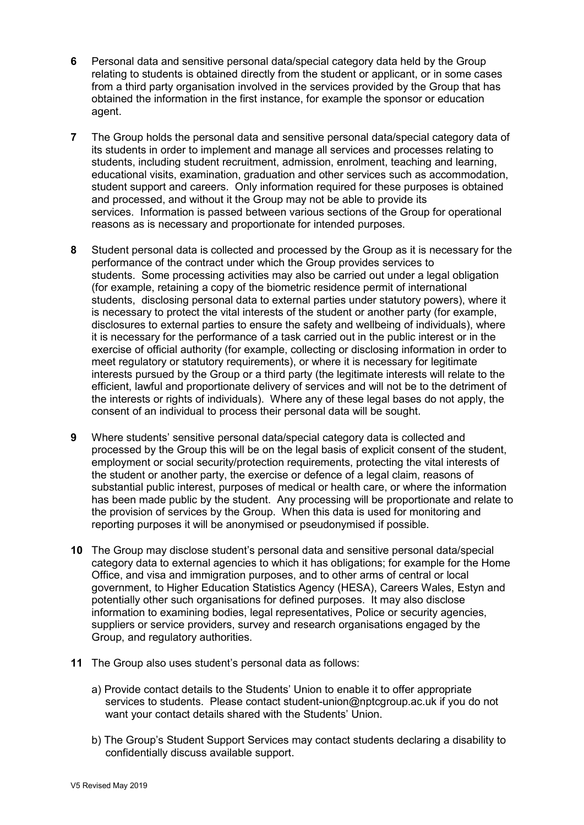- **6** Personal data and sensitive personal data/special category data held by the Group relating to students is obtained directly from the student or applicant, or in some cases from a third party organisation involved in the services provided by the Group that has obtained the information in the first instance, for example the sponsor or education agent.
- **7** The Group holds the personal data and sensitive personal data/special category data of its students in order to implement and manage all services and processes relating to students, including student recruitment, admission, enrolment, teaching and learning, educational visits, examination, graduation and other services such as accommodation, student support and careers. Only information required for these purposes is obtained and processed, and without it the Group may not be able to provide its services. Information is passed between various sections of the Group for operational reasons as is necessary and proportionate for intended purposes.
- **8** Student personal data is collected and processed by the Group as it is necessary for the performance of the contract under which the Group provides services to students. Some processing activities may also be carried out under a legal obligation (for example, retaining a copy of the biometric residence permit of international students, disclosing personal data to external parties under statutory powers), where it is necessary to protect the vital interests of the student or another party (for example, disclosures to external parties to ensure the safety and wellbeing of individuals), where it is necessary for the performance of a task carried out in the public interest or in the exercise of official authority (for example, collecting or disclosing information in order to meet regulatory or statutory requirements), or where it is necessary for legitimate interests pursued by the Group or a third party (the legitimate interests will relate to the efficient, lawful and proportionate delivery of services and will not be to the detriment of the interests or rights of individuals). Where any of these legal bases do not apply, the consent of an individual to process their personal data will be sought.
- **9** Where students' sensitive personal data/special category data is collected and processed by the Group this will be on the legal basis of explicit consent of the student, employment or social security/protection requirements, protecting the vital interests of the student or another party, the exercise or defence of a legal claim, reasons of substantial public interest, purposes of medical or health care, or where the information has been made public by the student. Any processing will be proportionate and relate to the provision of services by the Group. When this data is used for monitoring and reporting purposes it will be anonymised or pseudonymised if possible.
- **10** The Group may disclose student's personal data and sensitive personal data/special category data to external agencies to which it has obligations; for example for the Home Office, and visa and immigration purposes, and to other arms of central or local government, to Higher Education Statistics Agency (HESA), Careers Wales, Estyn and potentially other such organisations for defined purposes. It may also disclose information to examining bodies, legal representatives, Police or security agencies, suppliers or service providers, survey and research organisations engaged by the Group, and regulatory authorities.
- **11** The Group also uses student's personal data as follows:
	- a) Provide contact details to the Students' Union to enable it to offer appropriate services to students. Please contact student-union@nptcgroup.ac.uk if you do not want your contact details shared with the Students' Union.
	- b) The Group's Student Support Services may contact students declaring a disability to confidentially discuss available support.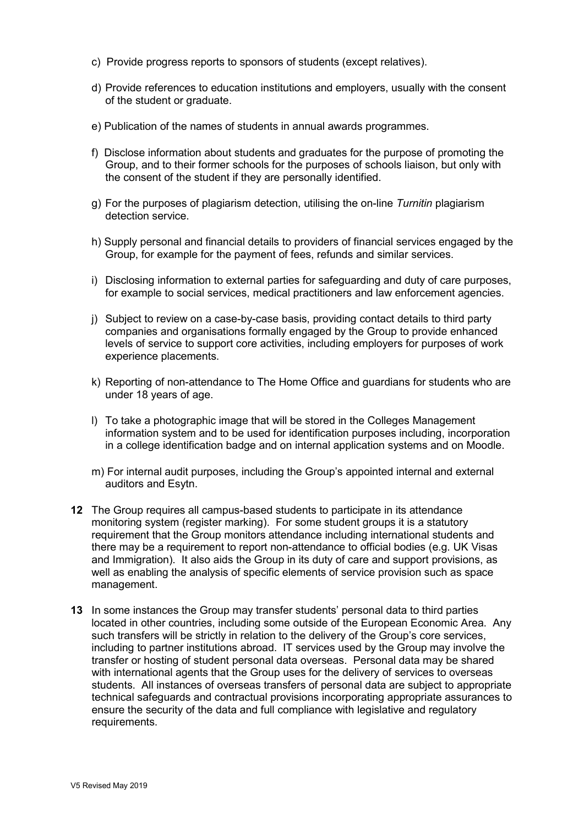- c) Provide progress reports to sponsors of students (except relatives).
- d) Provide references to education institutions and employers, usually with the consent of the student or graduate.
- e) Publication of the names of students in annual awards programmes.
- f) Disclose information about students and graduates for the purpose of promoting the Group, and to their former schools for the purposes of schools liaison, but only with the consent of the student if they are personally identified.
- g) For the purposes of plagiarism detection, utilising the on-line *Turnitin* plagiarism detection service.
- h) Supply personal and financial details to providers of financial services engaged by the Group, for example for the payment of fees, refunds and similar services.
- i) Disclosing information to external parties for safeguarding and duty of care purposes, for example to social services, medical practitioners and law enforcement agencies.
- j) Subject to review on a case-by-case basis, providing contact details to third party companies and organisations formally engaged by the Group to provide enhanced levels of service to support core activities, including employers for purposes of work experience placements.
- k) Reporting of non-attendance to The Home Office and guardians for students who are under 18 years of age.
- l) To take a photographic image that will be stored in the Colleges Management information system and to be used for identification purposes including, incorporation in a college identification badge and on internal application systems and on Moodle.
- m) For internal audit purposes, including the Group's appointed internal and external auditors and Esytn.
- **12** The Group requires all campus-based students to participate in its attendance monitoring system (register marking). For some student groups it is a statutory requirement that the Group monitors attendance including international students and there may be a requirement to report non-attendance to official bodies (e.g. UK Visas and Immigration). It also aids the Group in its duty of care and support provisions, as well as enabling the analysis of specific elements of service provision such as space management.
- **13** In some instances the Group may transfer students' personal data to third parties located in other countries, including some outside of the European Economic Area. Any such transfers will be strictly in relation to the delivery of the Group's core services, including to partner institutions abroad. IT services used by the Group may involve the transfer or hosting of student personal data overseas. Personal data may be shared with international agents that the Group uses for the delivery of services to overseas students. All instances of overseas transfers of personal data are subject to appropriate technical safeguards and contractual provisions incorporating appropriate assurances to ensure the security of the data and full compliance with legislative and regulatory requirements.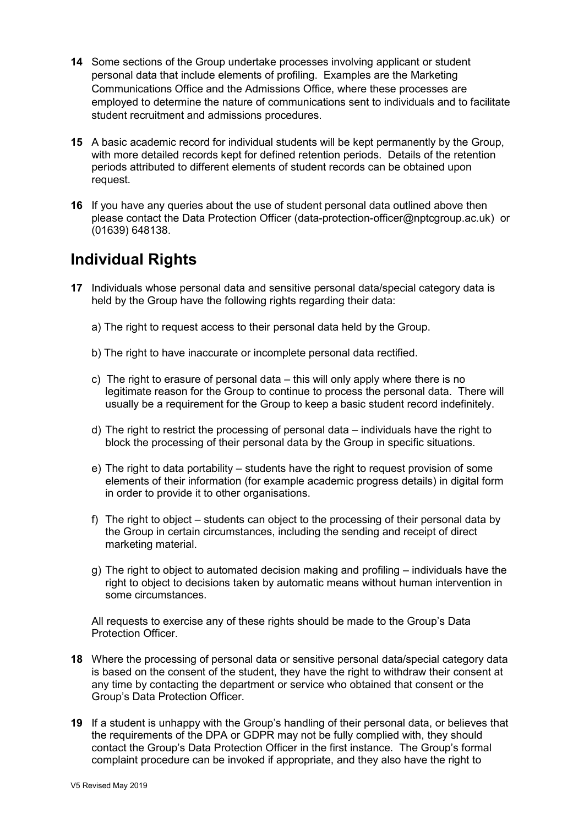- **14** Some sections of the Group undertake processes involving applicant or student personal data that include elements of profiling. Examples are the Marketing Communications Office and the Admissions Office, where these processes are employed to determine the nature of communications sent to individuals and to facilitate student recruitment and admissions procedures.
- **15** A basic academic record for individual students will be kept permanently by the Group, with more detailed records kept for defined retention periods. Details of the retention periods attributed to different elements of student records can be obtained upon request.
- **16** If you have any queries about the use of student personal data outlined above then please contact the Data Protection Officer (data-protection-officer@nptcgroup.ac.uk) or (01639) 648138.

## **Individual Rights**

- **17** Individuals whose personal data and sensitive personal data/special category data is held by the Group have the following rights regarding their data:
	- a) The right to request access to their personal data held by the Group.
	- b) The right to have inaccurate or incomplete personal data rectified.
	- c) The right to erasure of personal data this will only apply where there is no legitimate reason for the Group to continue to process the personal data. There will usually be a requirement for the Group to keep a basic student record indefinitely.
	- d) The right to restrict the processing of personal data individuals have the right to block the processing of their personal data by the Group in specific situations.
	- e) The right to data portability students have the right to request provision of some elements of their information (for example academic progress details) in digital form in order to provide it to other organisations.
	- f) The right to object students can object to the processing of their personal data by the Group in certain circumstances, including the sending and receipt of direct marketing material.
	- g) The right to object to automated decision making and profiling individuals have the right to object to decisions taken by automatic means without human intervention in some circumstances.

All requests to exercise any of these rights should be made to the Group's Data Protection Officer.

- **18** Where the processing of personal data or sensitive personal data/special category data is based on the consent of the student, they have the right to withdraw their consent at any time by contacting the department or service who obtained that consent or the Group's Data Protection Officer.
- **19** If a student is unhappy with the Group's handling of their personal data, or believes that the requirements of the DPA or GDPR may not be fully complied with, they should contact the Group's Data Protection Officer in the first instance. The Group's formal complaint procedure can be invoked if appropriate, and they also have the right to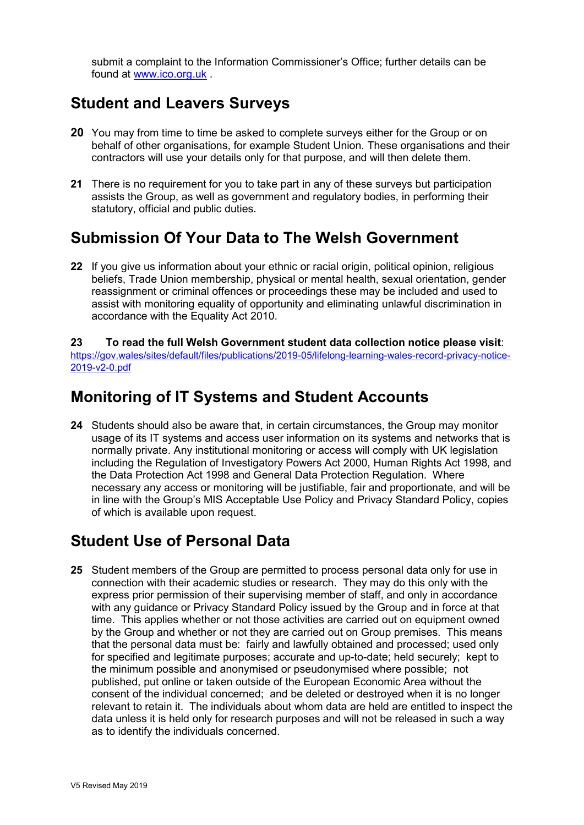submit a complaint to the Information Commissioner's Office; further details can be found at [www.ico.org.uk](http://www.ico.org.uk/) .

### **Student and Leavers Surveys**

- **20** You may from time to time be asked to complete surveys either for the Group or on behalf of other organisations, for example Student Union. These organisations and their contractors will use your details only for that purpose, and will then delete them.
- **21** There is no requirement for you to take part in any of these surveys but participation assists the Group, as well as government and regulatory bodies, in performing their statutory, official and public duties.

## **Submission Of Your Data to The Welsh Government**

**22** If you give us information about your ethnic or racial origin, political opinion, religious beliefs, Trade Union membership, physical or mental health, sexual orientation, gender reassignment or criminal offences or proceedings these may be included and used to assist with monitoring equality of opportunity and eliminating unlawful discrimination in accordance with the Equality Act 2010.

**23 To read the full Welsh Government student data collection notice please visit**: [https://gov.wales/sites/default/files/publications/2019-05/lifelong-learning-wales-record-privacy-notice-](https://gov.wales/sites/default/files/publications/2019-05/lifelong-learning-wales-record-privacy-notice-2019-v2-0.pdf)[2019-v2-0.pdf](https://gov.wales/sites/default/files/publications/2019-05/lifelong-learning-wales-record-privacy-notice-2019-v2-0.pdf)

### **Monitoring of IT Systems and Student Accounts**

**24** Students should also be aware that, in certain circumstances, the Group may monitor usage of its IT systems and access user information on its systems and networks that is normally private. Any institutional monitoring or access will comply with UK legislation including the Regulation of Investigatory Powers Act 2000, Human Rights Act 1998, and the Data Protection Act 1998 and General Data Protection Regulation. Where necessary any access or monitoring will be justifiable, fair and proportionate, and will be in line with the Group's MIS Acceptable Use Policy and Privacy Standard Policy, copies of which is available upon request.

### **Student Use of Personal Data**

**25** Student members of the Group are permitted to process personal data only for use in connection with their academic studies or research. They may do this only with the express prior permission of their supervising member of staff, and only in accordance with any guidance or Privacy Standard Policy issued by the Group and in force at that time. This applies whether or not those activities are carried out on equipment owned by the Group and whether or not they are carried out on Group premises. This means that the personal data must be: fairly and lawfully obtained and processed; used only for specified and legitimate purposes; accurate and up-to-date; held securely; kept to the minimum possible and anonymised or pseudonymised where possible; not published, put online or taken outside of the European Economic Area without the consent of the individual concerned; and be deleted or destroyed when it is no longer relevant to retain it. The individuals about whom data are held are entitled to inspect the data unless it is held only for research purposes and will not be released in such a way as to identify the individuals concerned.